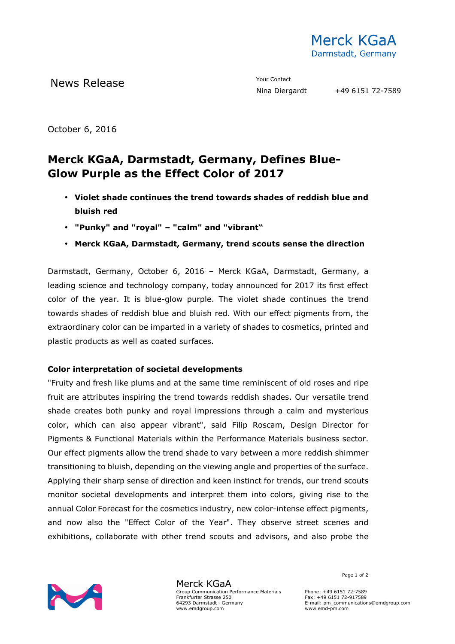

October 6, 2016

## **Merck KGaA, Darmstadt, Germany, Defines Blue-Glow Purple as the Effect Color of 2017**

- **Violet shade continues the trend towards shades of reddish blue and bluish red**
- **"Punky" and "royal" "calm" and "vibrant"**
- **Merck KGaA, Darmstadt, Germany, trend scouts sense the direction**

Darmstadt, Germany, October 6, 2016 – Merck KGaA, Darmstadt, Germany, a leading science and technology company, today announced for 2017 its first effect color of the year. It is blue-glow purple. The violet shade continues the trend towards shades of reddish blue and bluish red. With our effect pigments from, the extraordinary color can be imparted in a variety of shades to cosmetics, printed and plastic products as well as coated surfaces.

## **Color interpretation of societal developments**

"Fruity and fresh like plums and at the same time reminiscent of old roses and ripe fruit are attributes inspiring the trend towards reddish shades. Our versatile trend shade creates both punky and royal impressions through a calm and mysterious color, which can also appear vibrant", said Filip Roscam, Design Director for Pigments & Functional Materials within the Performance Materials business sector. Our effect pigments allow the trend shade to vary between a more reddish shimmer transitioning to bluish, depending on the viewing angle and properties of the surface. Applying their sharp sense of direction and keen instinct for trends, our trend scouts monitor societal developments and interpret them into colors, giving rise to the annual Color Forecast for the cosmetics industry, new color-intense effect pigments, and now also the "Effect Color of the Year". They observe street scenes and exhibitions, collaborate with other trend scouts and advisors, and also probe the



Merck KGaA Group Communication Performance Materials Frankfurter Strasse 250 64293 Darmstadt · Germany www.emdgroup.com

Page 1 of 2

Phone: +49 6151 72-7589 Fax: +49 6151 72-917589 E-mail: pm\_communications@emdgroup.com www.emd-pm.com